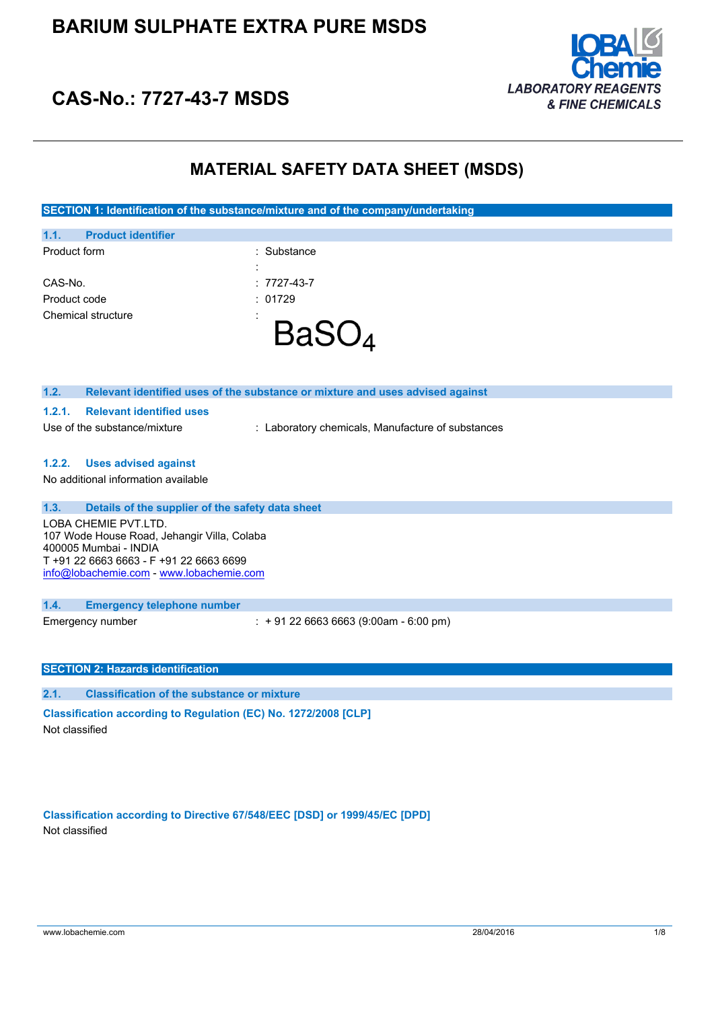

# **CAS-No.: 7727-43-7 MSDS**

## **MATERIAL SAFETY DATA SHEET (MSDS)**

**SECTION 1: Identification of the substance/mixture and of the company/undertaking**

| Chemical structure                | ٠<br>$\blacksquare$ |
|-----------------------------------|---------------------|
| Product code                      | : 01729             |
| CAS-No.                           | $: 7727 - 43 - 7$   |
|                                   | ٠<br>$\blacksquare$ |
| Product form                      | : Substance         |
| 1.1.<br><b>Product identifier</b> |                     |
|                                   |                     |

| 1.2.<br>Relevant identified uses of the substance or mixture and uses advised against |  |  |
|---------------------------------------------------------------------------------------|--|--|
| <b>Relevant identified uses</b><br>1.2.1.                                             |  |  |
| Use of the substance/mixture<br>: Laboratory chemicals, Manufacture of substances     |  |  |
|                                                                                       |  |  |
| <b>Uses advised against</b><br>1.2.2.                                                 |  |  |
| No additional information available                                                   |  |  |
|                                                                                       |  |  |
| 1.3.<br>Details of the supplier of the safety data sheet                              |  |  |
| LOBA CHEMIE PVT.LTD.                                                                  |  |  |
| 107 Wode House Road, Jehangir Villa, Colaba                                           |  |  |
| 400005 Mumbai - INDIA                                                                 |  |  |
| T +91 22 6663 6663 - F +91 22 6663 6699                                               |  |  |
| info@lobachemie.com - www.lobachemie.com                                              |  |  |
|                                                                                       |  |  |
| 1.4.<br><b>Emergency telephone number</b>                                             |  |  |
| $\div$ + 91 22 6663 6663 (9:00am - 6:00 pm)<br>Emergency number                       |  |  |
|                                                                                       |  |  |
|                                                                                       |  |  |
| <b>SECTION 2: Hazards identification</b>                                              |  |  |
|                                                                                       |  |  |
| 2.1.<br><b>Classification of the substance or mixture</b>                             |  |  |

**Classification according to Regulation (EC) No. 1272/2008 [CLP]** Not classified

**Classification according to Directive 67/548/EEC [DSD] or 1999/45/EC [DPD]** Not classified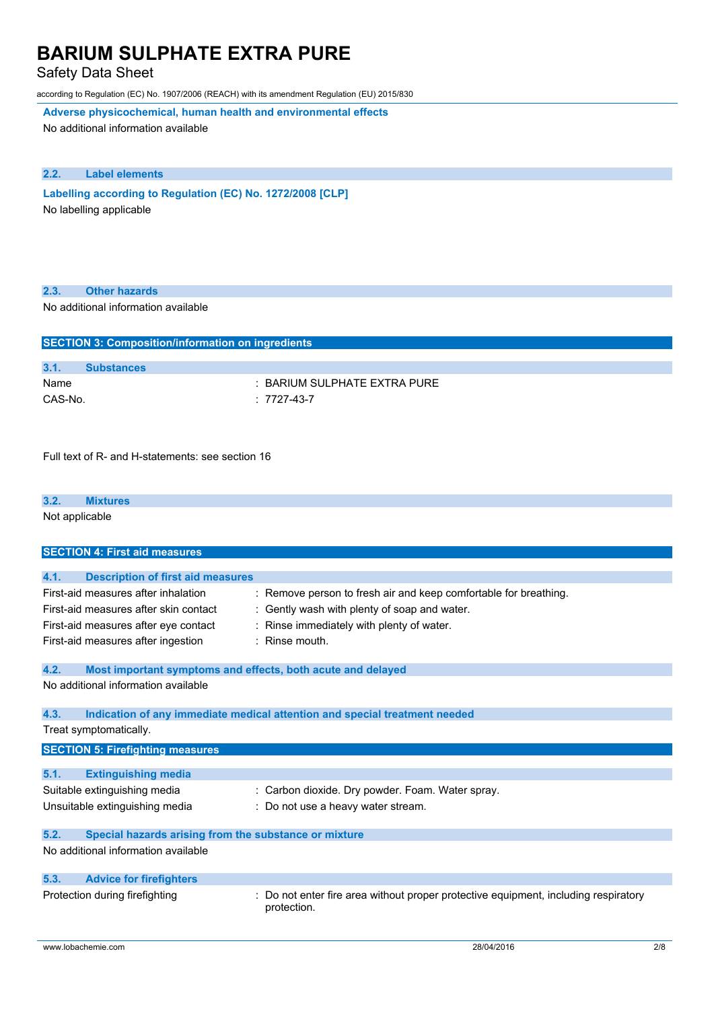Safety Data Sheet

according to Regulation (EC) No. 1907/2006 (REACH) with its amendment Regulation (EU) 2015/830

**Adverse physicochemical, human health and environmental effects**

No additional information available

## **2.2. Label elements**

**Labelling according to** Regulation (EC) No. 1272/2008 [CLP] No labelling applicable

| 2.3. |  | <b>Other hazards</b> |
|------|--|----------------------|
|------|--|----------------------|

No additional information available

| <b>SECTION 3: Composition/information on ingredients</b> |                                  |  |
|----------------------------------------------------------|----------------------------------|--|
|                                                          |                                  |  |
| 3.1.                                                     | <b>Substances</b>                |  |
| Name                                                     | $\pm$ BARIUM SULPHATE EXTRA PURE |  |
| CAS-No.                                                  | $: 7727-43-7$                    |  |
|                                                          |                                  |  |

Full text of R- and H-statements: see section 16

#### **3.2. Mixtures**

Not applicable

| <b>SECTION 4: First aid measures</b>                                                                                 |                                                                                                                                                           |  |  |
|----------------------------------------------------------------------------------------------------------------------|-----------------------------------------------------------------------------------------------------------------------------------------------------------|--|--|
|                                                                                                                      |                                                                                                                                                           |  |  |
| 4.1.<br><b>Description of first aid measures</b>                                                                     |                                                                                                                                                           |  |  |
| First-aid measures after inhalation<br>First-aid measures after skin contact<br>First-aid measures after eye contact | : Remove person to fresh air and keep comfortable for breathing.<br>Gently wash with plenty of soap and water.<br>Rinse immediately with plenty of water. |  |  |
|                                                                                                                      |                                                                                                                                                           |  |  |
| First-aid measures after ingestion                                                                                   | $:$ Rinse mouth.                                                                                                                                          |  |  |
| 4.2.<br>Most important symptoms and effects, both acute and delayed                                                  |                                                                                                                                                           |  |  |
| No additional information available                                                                                  |                                                                                                                                                           |  |  |
| 4.3.                                                                                                                 | Indication of any immediate medical attention and special treatment needed                                                                                |  |  |
| Treat symptomatically.                                                                                               |                                                                                                                                                           |  |  |
| <b>SECTION 5: Firefighting measures</b>                                                                              |                                                                                                                                                           |  |  |
| 5.1.<br><b>Extinguishing media</b>                                                                                   |                                                                                                                                                           |  |  |
| Suitable extinguishing media                                                                                         | : Carbon dioxide. Dry powder. Foam. Water spray.                                                                                                          |  |  |
|                                                                                                                      |                                                                                                                                                           |  |  |
| Unsuitable extinguishing media                                                                                       | Do not use a heavy water stream.                                                                                                                          |  |  |
| 5.2.<br>Special hazards arising from the substance or mixture                                                        |                                                                                                                                                           |  |  |
| No additional information available                                                                                  |                                                                                                                                                           |  |  |
| 5.3.<br><b>Advice for firefighters</b>                                                                               |                                                                                                                                                           |  |  |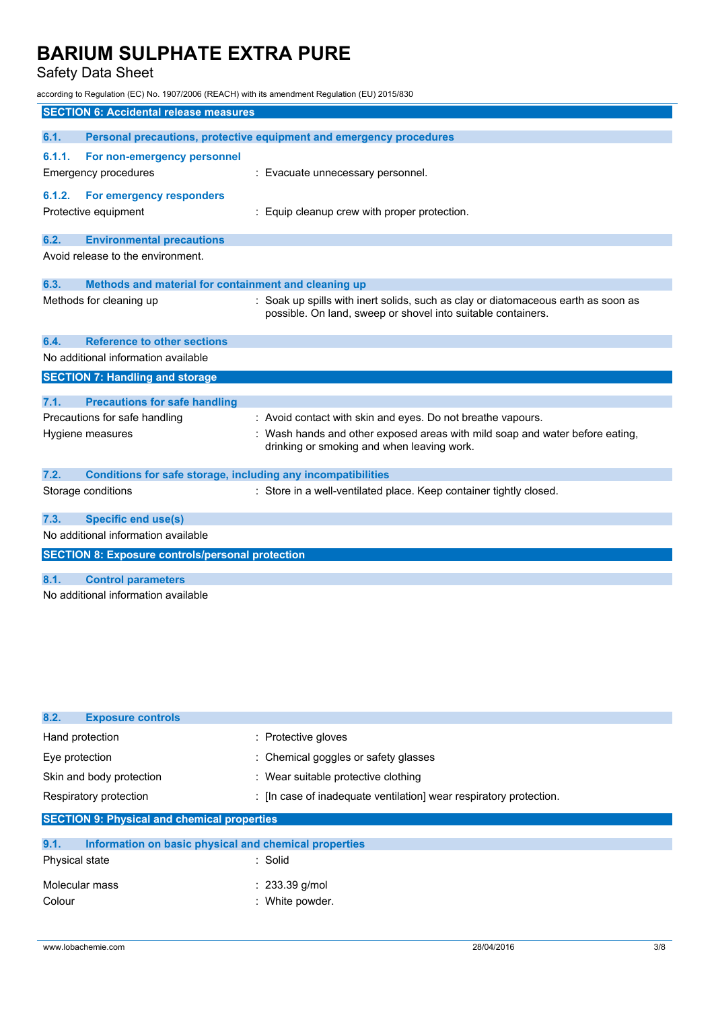## Safety Data Sheet

according to Regulation (EC) No. 1907/2006 (REACH) with its amendment Regulation (EU) 2015/830

|        | <b>SECTION 6: Accidental release measures</b>                       |                                                                                                                                                   |
|--------|---------------------------------------------------------------------|---------------------------------------------------------------------------------------------------------------------------------------------------|
| 6.1.   |                                                                     | Personal precautions, protective equipment and emergency procedures                                                                               |
|        |                                                                     |                                                                                                                                                   |
| 6.1.1. | For non-emergency personnel                                         |                                                                                                                                                   |
|        | <b>Emergency procedures</b>                                         | : Evacuate unnecessary personnel.                                                                                                                 |
| 6.1.2. | For emergency responders                                            |                                                                                                                                                   |
|        | Protective equipment                                                | : Equip cleanup crew with proper protection.                                                                                                      |
|        |                                                                     |                                                                                                                                                   |
| 6.2.   | <b>Environmental precautions</b>                                    |                                                                                                                                                   |
|        | Avoid release to the environment.                                   |                                                                                                                                                   |
|        |                                                                     |                                                                                                                                                   |
| 6.3.   | Methods and material for containment and cleaning up                |                                                                                                                                                   |
|        | Methods for cleaning up                                             | : Soak up spills with inert solids, such as clay or diatomaceous earth as soon as<br>possible. On land, sweep or shovel into suitable containers. |
|        |                                                                     |                                                                                                                                                   |
| 6.4.   | <b>Reference to other sections</b>                                  |                                                                                                                                                   |
|        | No additional information available                                 |                                                                                                                                                   |
|        | <b>SECTION 7: Handling and storage</b>                              |                                                                                                                                                   |
|        |                                                                     |                                                                                                                                                   |
| 7.1.   | <b>Precautions for safe handling</b>                                |                                                                                                                                                   |
|        | Precautions for safe handling                                       | : Avoid contact with skin and eyes. Do not breathe vapours.                                                                                       |
|        | Hygiene measures                                                    | : Wash hands and other exposed areas with mild soap and water before eating,                                                                      |
|        |                                                                     | drinking or smoking and when leaving work.                                                                                                        |
| 7.2.   | <b>Conditions for safe storage, including any incompatibilities</b> |                                                                                                                                                   |
|        | Storage conditions                                                  | : Store in a well-ventilated place. Keep container tightly closed.                                                                                |
|        |                                                                     |                                                                                                                                                   |
| 7.3.   | <b>Specific end use(s)</b>                                          |                                                                                                                                                   |
|        | No additional information available                                 |                                                                                                                                                   |
|        | <b>SECTION 8: Exposure controls/personal protection</b>             |                                                                                                                                                   |
|        |                                                                     |                                                                                                                                                   |
| 8.1.   | <b>Control parameters</b>                                           |                                                                                                                                                   |
|        | No additional information available                                 |                                                                                                                                                   |
|        |                                                                     |                                                                                                                                                   |

| 8.2.<br><b>Exposure controls</b>                   |                                                                    |  |
|----------------------------------------------------|--------------------------------------------------------------------|--|
| Hand protection                                    | : Protective gloves                                                |  |
| Eye protection                                     | : Chemical goggles or safety glasses                               |  |
| Skin and body protection                           | : Wear suitable protective clothing                                |  |
| Respiratory protection                             | : [In case of inadequate ventilation] wear respiratory protection. |  |
| <b>SECTION 9: Physical and chemical properties</b> |                                                                    |  |

| 9.1.<br>Information on basic physical and chemical properties |                  |
|---------------------------------------------------------------|------------------|
| Physical state                                                | : Solid          |
| Molecular mass                                                | $: 233.39$ g/mol |
| Colour                                                        | : White powder.  |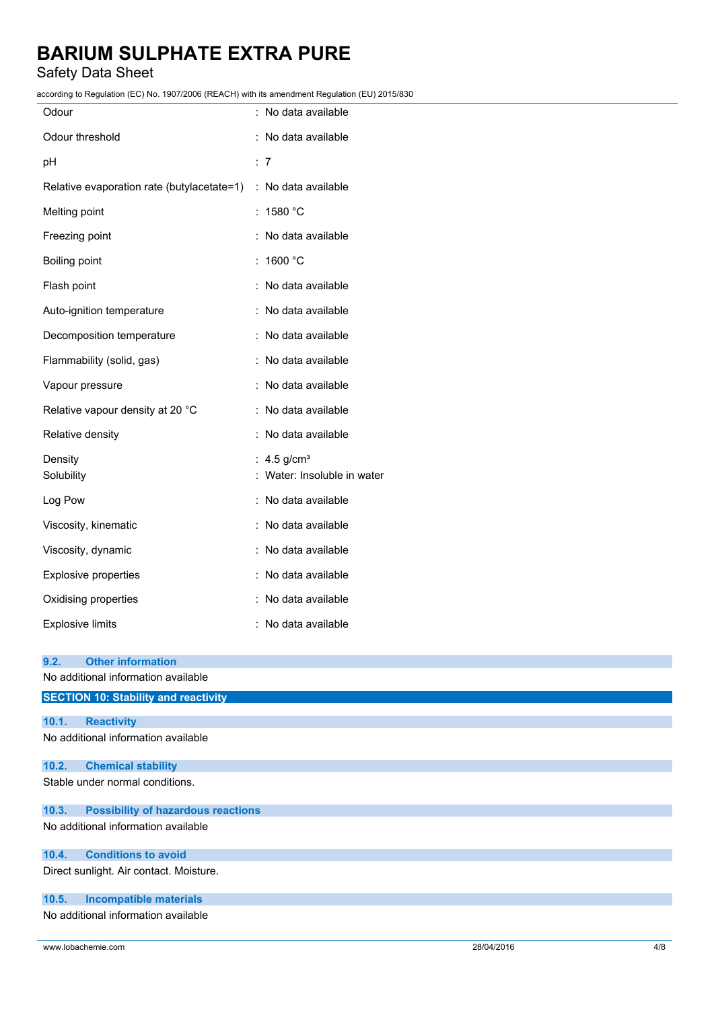## Safety Data Sheet

according to Regulation (EC) No. 1907/2006 (REACH) with its amendment Regulation (EU) 2015/830

| $1000$ and $10000$ and $10000$ and $10000$ and $10000$ and $10000$ and $10000$ and $10000$ |                             |
|--------------------------------------------------------------------------------------------|-----------------------------|
| Odour                                                                                      | : No data available         |
| Odour threshold                                                                            | : No data available         |
| pН                                                                                         | $\therefore$ 7              |
| Relative evaporation rate (butylacetate=1) : No data available                             |                             |
| Melting point                                                                              | : 1580 °C                   |
| Freezing point                                                                             | : No data available         |
| Boiling point                                                                              | : $1600 °C$                 |
| Flash point                                                                                | : No data available         |
| Auto-ignition temperature                                                                  | : No data available         |
| Decomposition temperature                                                                  | : No data available         |
| Flammability (solid, gas)                                                                  | : No data available         |
| Vapour pressure                                                                            | : No data available         |
| Relative vapour density at 20 °C                                                           | : No data available         |
| Relative density                                                                           | : No data available         |
| Density                                                                                    | : 4.5 $g/cm^{3}$            |
| Solubility                                                                                 | : Water: Insoluble in water |
| Log Pow                                                                                    | : No data available         |
| Viscosity, kinematic                                                                       | : No data available         |
| Viscosity, dynamic                                                                         | : No data available         |
| Explosive properties                                                                       | : No data available         |
| Oxidising properties                                                                       | : No data available         |
| <b>Explosive limits</b>                                                                    | : No data available         |
|                                                                                            |                             |

| 9.2.  | <b>Other information</b>                    |
|-------|---------------------------------------------|
|       | No additional information available         |
|       | <b>SECTION 10: Stability and reactivity</b> |
|       |                                             |
| 10.1. | <b>Reactivity</b>                           |
|       | No additional information available         |
| 10.2. | <b>Chemical stability</b>                   |
|       | Stable under normal conditions.             |
| 10.3. | <b>Possibility of hazardous reactions</b>   |
|       | No additional information available         |
| 10.4. | <b>Conditions to avoid</b>                  |
|       | Direct sunlight. Air contact. Moisture.     |
| 10.5. | <b>Incompatible materials</b>               |
|       | No additional information available         |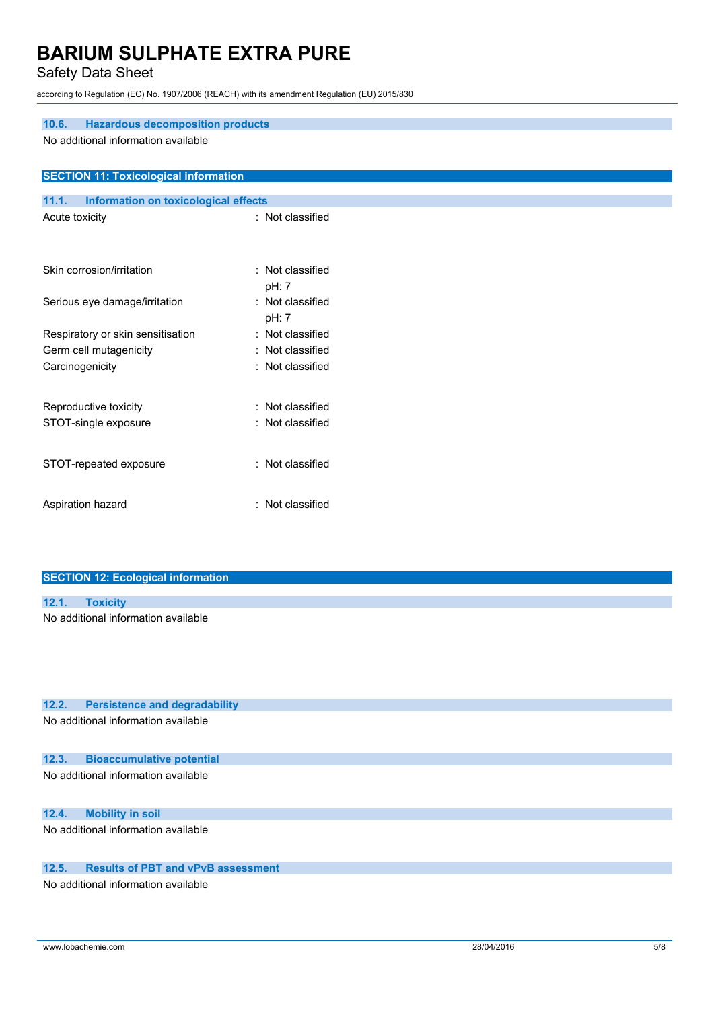## Safety Data Sheet

according to Regulation (EC) No. 1907/2006 (REACH) with its amendment Regulation (EU) 2015/830

| <b>Hazardous decomposition products</b><br>10.6.<br>No additional information available |                           |  |  |
|-----------------------------------------------------------------------------------------|---------------------------|--|--|
| <b>SECTION 11: Toxicological information</b>                                            |                           |  |  |
| 11.1.<br><b>Information on toxicological effects</b>                                    |                           |  |  |
| Acute toxicity                                                                          | : Not classified          |  |  |
|                                                                                         |                           |  |  |
| Skin corrosion/irritation                                                               | : Not classified          |  |  |
|                                                                                         | pH: 7                     |  |  |
| Serious eye damage/irritation                                                           | : Not classified<br>pH: 7 |  |  |
| Respiratory or skin sensitisation                                                       | : Not classified          |  |  |
| Germ cell mutagenicity                                                                  | : Not classified          |  |  |
| Carcinogenicity                                                                         | : Not classified          |  |  |
|                                                                                         |                           |  |  |
| Reproductive toxicity                                                                   | : Not classified          |  |  |
| STOT-single exposure                                                                    | : Not classified          |  |  |
|                                                                                         |                           |  |  |
| STOT-repeated exposure                                                                  | : Not classified          |  |  |
|                                                                                         |                           |  |  |
| Aspiration hazard                                                                       | : Not classified          |  |  |
|                                                                                         |                           |  |  |

|       | <b>SECTION 12: Ecological information</b> |  |
|-------|-------------------------------------------|--|
|       |                                           |  |
| 12.1. | <b>Toxicity</b>                           |  |
|       | No additional information available       |  |
|       |                                           |  |
|       |                                           |  |

| 12.2. | <b>Persistence and degradability</b> |  |  |  |
|-------|--------------------------------------|--|--|--|
|-------|--------------------------------------|--|--|--|

No additional information available

### **12.3. Bioaccumulative potential**

No additional information available

#### **12.4. Mobility in soil**

No additional information available

#### **12.5. Results of PBT and vPvB assessment**

No additional information available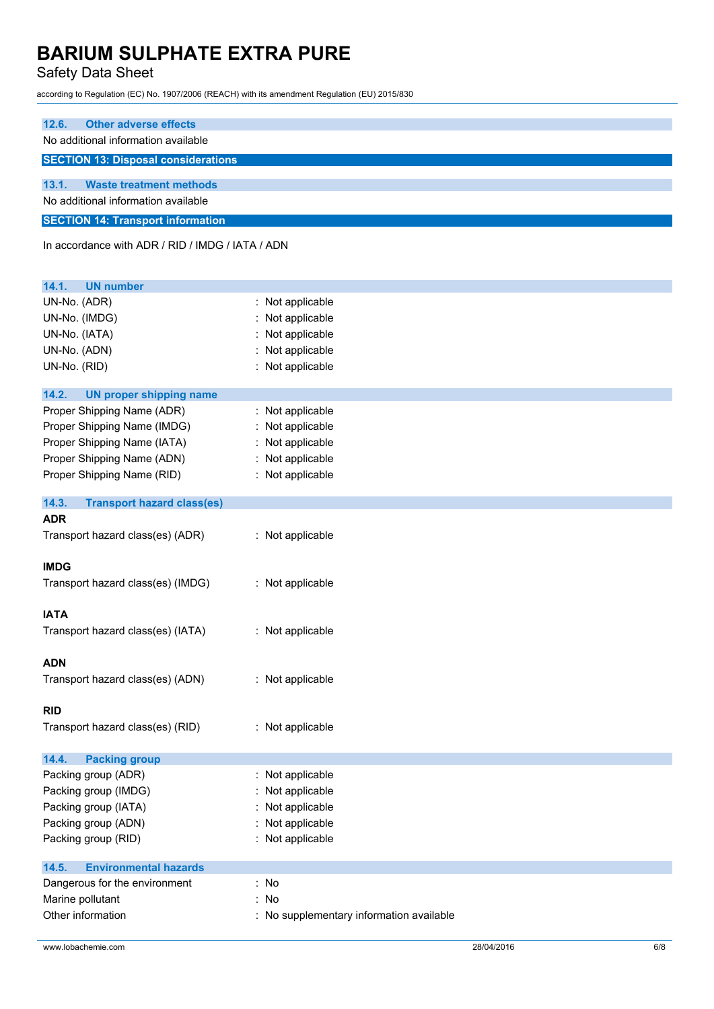Safety Data Sheet

according to Regulation (EC) No. 1907/2006 (REACH) with its amendment Regulation (EU) 2015/830

| 12.6.<br><b>Other adverse effects</b>            |                                        |  |  |  |
|--------------------------------------------------|----------------------------------------|--|--|--|
| No additional information available              |                                        |  |  |  |
| <b>SECTION 13: Disposal considerations</b>       |                                        |  |  |  |
| 13.1.<br><b>Waste treatment methods</b>          |                                        |  |  |  |
| No additional information available              |                                        |  |  |  |
| <b>SECTION 14: Transport information</b>         |                                        |  |  |  |
| In accordance with ADR / RID / IMDG / IATA / ADN |                                        |  |  |  |
| <b>UN number</b><br>14.1.                        |                                        |  |  |  |
| UN-No. (ADR)                                     | Not applicable                         |  |  |  |
| UN-No. (IMDG)                                    | Not applicable                         |  |  |  |
| UN-No. (IATA)                                    | Not applicable                         |  |  |  |
| UN-No. (ADN)                                     | Not applicable                         |  |  |  |
| UN-No. (RID)                                     | Not applicable                         |  |  |  |
| 14.2.<br><b>UN proper shipping name</b>          |                                        |  |  |  |
| Proper Shipping Name (ADR)                       | : Not applicable                       |  |  |  |
| Proper Shipping Name (IMDG)                      | Not applicable                         |  |  |  |
| Proper Shipping Name (IATA)                      | Not applicable                         |  |  |  |
| Proper Shipping Name (ADN)                       | Not applicable<br>÷                    |  |  |  |
| Proper Shipping Name (RID)                       | : Not applicable                       |  |  |  |
| 14.3.<br><b>Transport hazard class(es)</b>       |                                        |  |  |  |
| <b>ADR</b>                                       |                                        |  |  |  |
| Transport hazard class(es) (ADR)                 | : Not applicable                       |  |  |  |
| <b>IMDG</b>                                      |                                        |  |  |  |
| Transport hazard class(es) (IMDG)                | : Not applicable                       |  |  |  |
| <b>IATA</b>                                      |                                        |  |  |  |
| Transport hazard class(es) (IATA)                | : Not applicable                       |  |  |  |
|                                                  |                                        |  |  |  |
| <b>ADN</b>                                       |                                        |  |  |  |
| Transport hazard class(es) (ADN)                 | : Not applicable                       |  |  |  |
| <b>RID</b>                                       |                                        |  |  |  |
| Transport hazard class(es) (RID)                 | : Not applicable                       |  |  |  |
| 14.4.<br><b>Packing group</b>                    |                                        |  |  |  |
| Packing group (ADR)                              | Not applicable<br>$\ddot{\phantom{a}}$ |  |  |  |
| Packing group (IMDG)                             | Not applicable                         |  |  |  |
| Packing group (IATA)                             | Not applicable                         |  |  |  |
| Packing group (ADN)                              | Not applicable                         |  |  |  |
| Packing group (RID)                              | Not applicable                         |  |  |  |
| 14.5.<br><b>Environmental hazards</b>            |                                        |  |  |  |
| Dangerous for the environment                    | : No                                   |  |  |  |
| Marine pollutant                                 | : No                                   |  |  |  |
| Other information                                | No supplementary information available |  |  |  |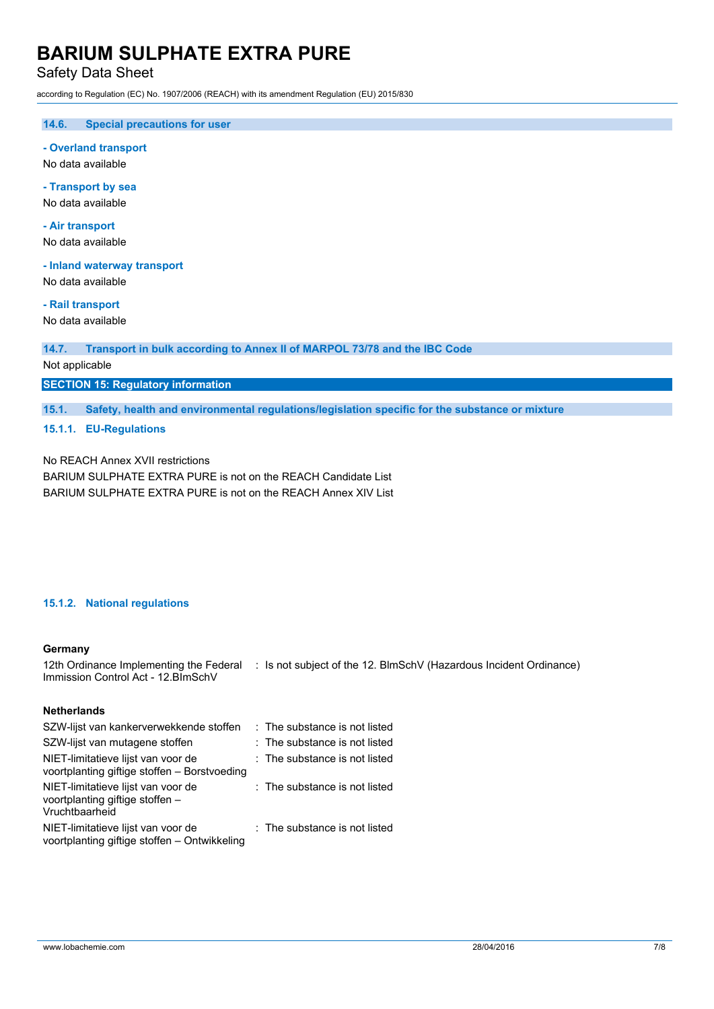Safety Data Sheet

according to Regulation (EC) No. 1907/2006 (REACH) with its amendment Regulation (EU) 2015/830

**14.6. Special precautions for user**

**- Overland transport**

No data available

**- Transport by sea** No data available

**- Air transport** No data available

**- Inland waterway transport**

No data available

**- Rail transport**

No data available

**14.7. Transport in bulk according to Annex II of MARPOL 73/78 and the IBC Code**

Not applicable

**SECTION 15: Regulatory information**

**15.1. Safety, health and environmental regulations/legislation specific for the substance or mixture**

**15.1.1. EU-Regulations**

No REACH Annex XVII restrictions BARIUM SULPHATE EXTRA PURE is not on the REACH Candidate List BARIUM SULPHATE EXTRA PURE is not on the REACH Annex XIV List

#### **15.1.2. National regulations**

#### **Germany**

12th Ordinance Implementing the Federal : Is not subject of the 12. BlmSchV (Hazardous Incident Ordinance) Immission Control Act - 12.BImSchV

#### **Netherlands**

| SZW-lijst van kankerverwekkende stoffen                                                 | : The substance is not listed |
|-----------------------------------------------------------------------------------------|-------------------------------|
| SZW-lijst van mutagene stoffen                                                          | : The substance is not listed |
| NIET-limitatieve lijst van voor de<br>voortplanting giftige stoffen - Borstvoeding      | : The substance is not listed |
| NIET-limitatieve lijst van voor de<br>voortplanting giftige stoffen -<br>Vruchtbaarheid | : The substance is not listed |
| NIET-limitatieve lijst van voor de<br>voortplanting giftige stoffen - Ontwikkeling      | : The substance is not listed |